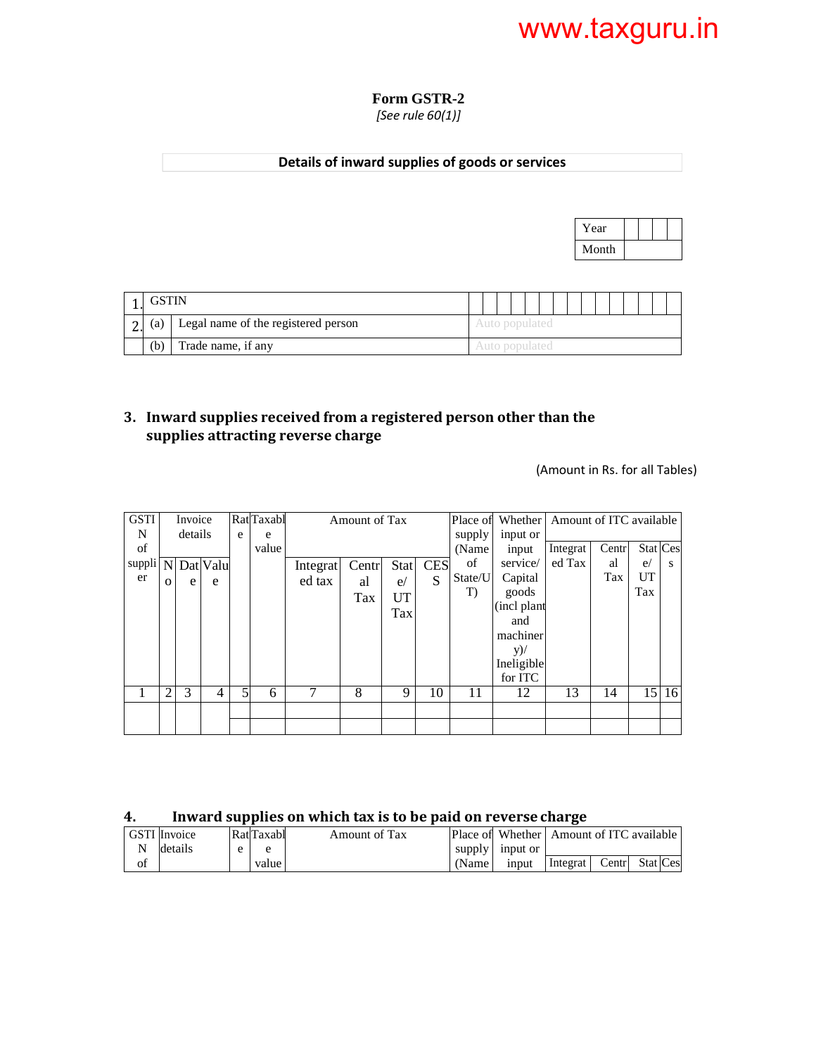#### **Form GSTR-2**  *[See rule 60(1)]*

## **Details of inward supplies of goods or services**



| (a) | Legal name of the registered person |  |  |  |  |  |  |  |
|-----|-------------------------------------|--|--|--|--|--|--|--|
| (b) | Trade name, if any                  |  |  |  |  |  |  |  |

### **3. Inward supplies received from a registered person other than the supplies attracting reverse charge**

(Amount in Rs. for all Tables)

| <b>GSTI</b>                      |                | Invoice |   |   | Rat <sup>Taxabl</sup> |          | Amount of Tax |      |            | Place of | Whether   Amount of ITC available |          |       |          |       |
|----------------------------------|----------------|---------|---|---|-----------------------|----------|---------------|------|------------|----------|-----------------------------------|----------|-------|----------|-------|
| N                                |                | details |   | e | e                     |          |               |      |            | supply   | input or                          |          |       |          |       |
| of                               |                |         |   |   | value                 |          |               |      |            | (Name)   | input                             | Integrat | Centr | Stat Ces |       |
| $suppli$ $\overline{N}$ Dat Valu |                |         |   |   |                       | Integrat | Centr         | Stat | <b>CES</b> | of       | service/                          | ed Tax   | al    | e/       | s     |
| er                               | $\Omega$       | e       | e |   |                       | ed tax   | al            | e/   | S          | State/U  | Capital                           |          | Tax   | UT       |       |
|                                  |                |         |   |   |                       |          | Tax           | UT   |            | T        | goods                             |          |       | Tax      |       |
|                                  |                |         |   |   |                       |          |               | Tax  |            |          | (incl plant                       |          |       |          |       |
|                                  |                |         |   |   |                       |          |               |      |            |          | and                               |          |       |          |       |
|                                  |                |         |   |   |                       |          |               |      |            |          | machiner                          |          |       |          |       |
|                                  |                |         |   |   |                       |          |               |      |            |          | $y)$ /                            |          |       |          |       |
|                                  |                |         |   |   |                       |          |               |      |            |          | Ineligible                        |          |       |          |       |
|                                  |                |         |   |   |                       |          |               |      |            |          | for ITC                           |          |       |          |       |
|                                  | $\overline{c}$ | 3       | 4 | 5 | 6                     |          | 8             | 9    | 10         | 11       | 12                                | 13       | 14    |          | 15 16 |
|                                  |                |         |   |   |                       |          |               |      |            |          |                                   |          |       |          |       |
|                                  |                |         |   |   |                       |          |               |      |            |          |                                   |          |       |          |       |

### **4. Inward supplies on which tax is to be paid on reverse charge**

|    | <b>GSTI</b> Invoice |              | RatlTaxabl | Amount of Tax |        | Place of Whether Amount of ITC available |          |       |          |
|----|---------------------|--------------|------------|---------------|--------|------------------------------------------|----------|-------|----------|
| N  | details             | $\mathbf{e}$ | e          |               |        | supply input or                          |          |       |          |
| of |                     |              | value      |               | (Name) | input                                    | Integrat | Centr | Stat Ces |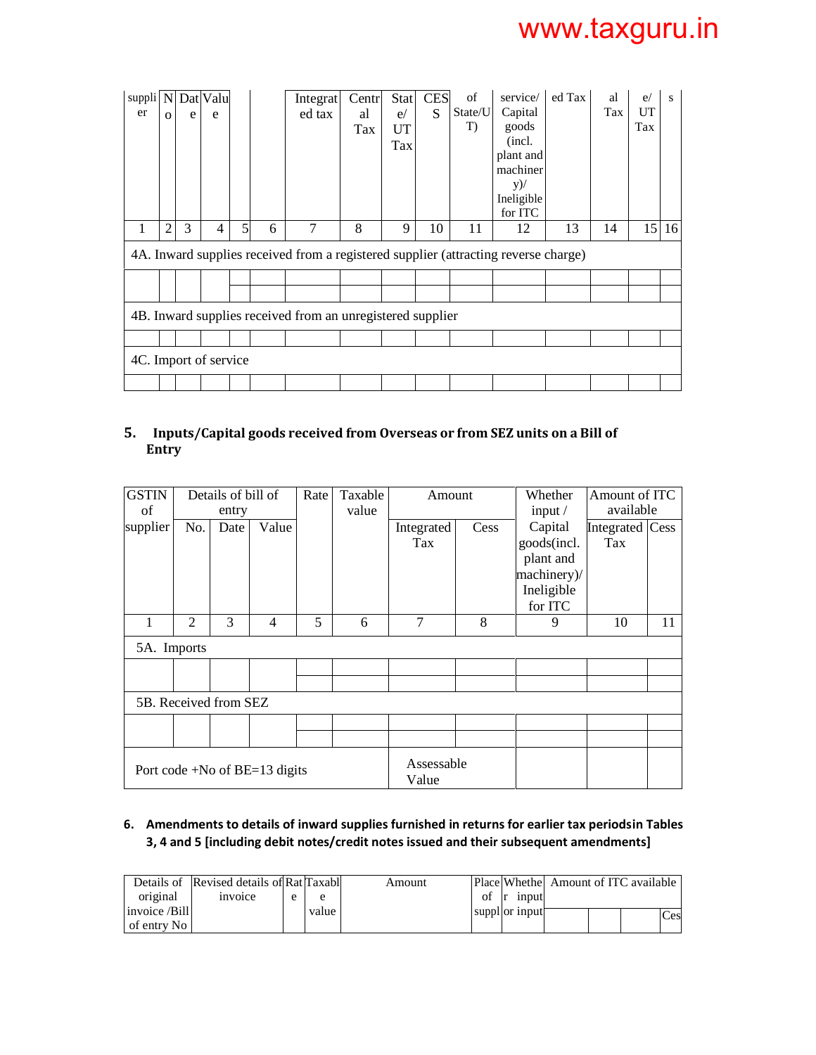| suppli N Dat Valu<br>er | $\Omega$       | e | e |   |   | Integrat<br>ed tax                                                                  | Centr<br>al<br>Tax | <b>Stat</b><br>e/<br>UT<br>Tax | <b>CES</b><br>S | of<br>State/U<br>T) | service/<br>Capital<br>goods<br>(incl.<br>plant and<br>machiner<br>$y)$ /<br>Ineligible<br>for ITC | ed Tax | al<br>Tax | e/<br>UT<br>Tax | S     |
|-------------------------|----------------|---|---|---|---|-------------------------------------------------------------------------------------|--------------------|--------------------------------|-----------------|---------------------|----------------------------------------------------------------------------------------------------|--------|-----------|-----------------|-------|
| 1                       | $\overline{2}$ | 3 | 4 | 5 | 6 | 7                                                                                   | 8                  | 9                              | 10              | 11                  | 12                                                                                                 | 13     | 14        |                 | 15 16 |
|                         |                |   |   |   |   | 4A. Inward supplies received from a registered supplier (attracting reverse charge) |                    |                                |                 |                     |                                                                                                    |        |           |                 |       |
|                         |                |   |   |   |   |                                                                                     |                    |                                |                 |                     |                                                                                                    |        |           |                 |       |
|                         |                |   |   |   |   |                                                                                     |                    |                                |                 |                     |                                                                                                    |        |           |                 |       |
|                         |                |   |   |   |   | 4B. Inward supplies received from an unregistered supplier                          |                    |                                |                 |                     |                                                                                                    |        |           |                 |       |
|                         |                |   |   |   |   |                                                                                     |                    |                                |                 |                     |                                                                                                    |        |           |                 |       |
| 4C. Import of service   |                |   |   |   |   |                                                                                     |                    |                                |                 |                     |                                                                                                    |        |           |                 |       |
|                         |                |   |   |   |   |                                                                                     |                    |                                |                 |                     |                                                                                                    |        |           |                 |       |

### **5. Inputs/Capital goods received from Overseas or from SEZ units on a Bill of Entry**

| <b>GSTIN</b><br>of |                | Details of bill of<br>entry |                                 | Rate | Taxable<br>value | Amount              |      | Whether<br>input $/$                                                        | Amount of ITC<br>available |    |
|--------------------|----------------|-----------------------------|---------------------------------|------|------------------|---------------------|------|-----------------------------------------------------------------------------|----------------------------|----|
| supplier           | No.            | Date                        | Value                           |      |                  | Integrated<br>Tax   | Cess | Capital<br>goods(incl.<br>plant and<br>machinery)/<br>Ineligible<br>for ITC | Integrated Cess<br>Tax     |    |
| 1                  | $\overline{2}$ | 3                           | 4                               | 5    | 6                | $\overline{7}$      | 8    | 9                                                                           | 10                         | 11 |
| 5A. Imports        |                |                             |                                 |      |                  |                     |      |                                                                             |                            |    |
|                    |                | 5B. Received from SEZ       |                                 |      |                  |                     |      |                                                                             |                            |    |
|                    |                |                             |                                 |      |                  |                     |      |                                                                             |                            |    |
|                    |                |                             | Port code +No of $BE=13$ digits |      |                  | Assessable<br>Value |      |                                                                             |                            |    |

#### **6.** Amendments to details of inward supplies furnished in returns for earlier tax periodsin Tables **3, 4 and 5 [including debit notes/credit notes issued and their subsequent amendments]**

|               | Details of Revised details of Rat Taxabl |         | Amount |    |                       | Place Whethel Amount of ITC available |  |            |
|---------------|------------------------------------------|---------|--------|----|-----------------------|---------------------------------------|--|------------|
| original      | invoice                                  | e       |        | of | $\vert r \vert$ input |                                       |  |            |
| invoice /Bill |                                          | value i |        |    | suppl or input        |                                       |  | <b>Ces</b> |
| of entry No   |                                          |         |        |    |                       |                                       |  |            |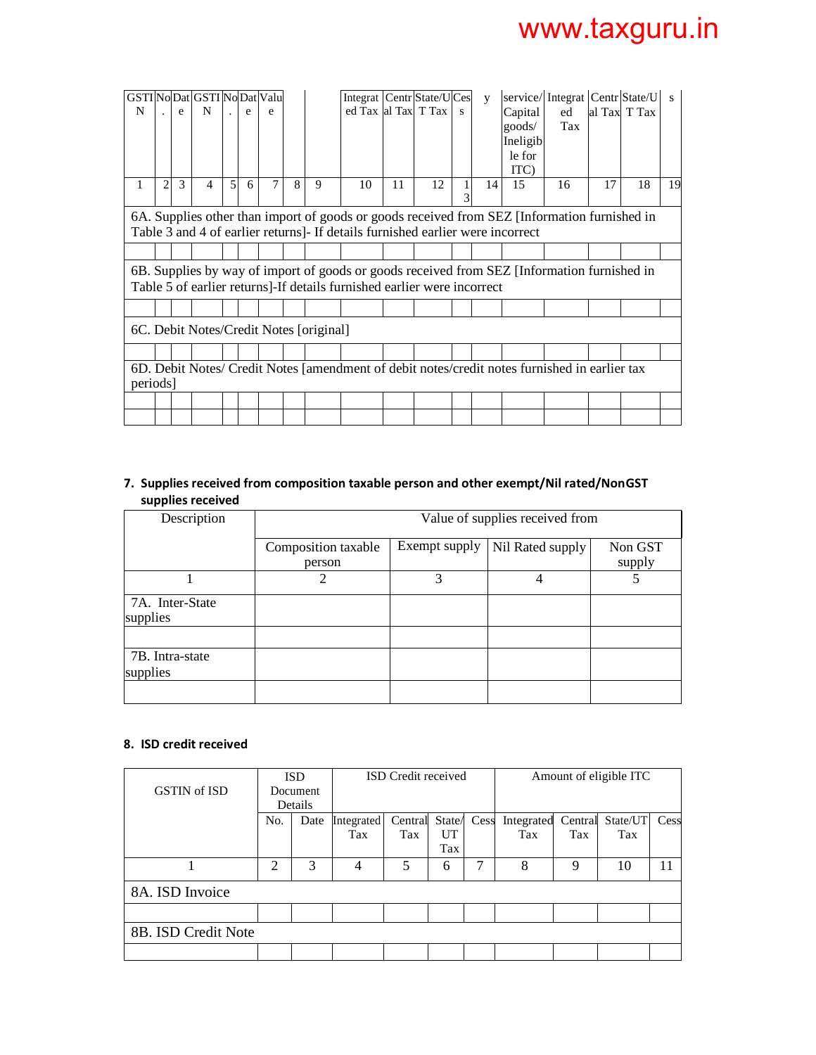| N        |                | e | GSTI No Dat GSTI No Dat Valu<br>N |                | e | e |   |                                         | Integrat   Centr State/UCes<br>ed Tax al Tax T Tax                             |    |    | S | $\mathbf{V}$ | Capital<br>goods/<br>Ineligib<br>le for<br>ITC) | service/Integrat Centr State/U<br>ed<br>Tax                                                   |    | al Tax T Tax | $\mathbf{s}$ |
|----------|----------------|---|-----------------------------------|----------------|---|---|---|-----------------------------------------|--------------------------------------------------------------------------------|----|----|---|--------------|-------------------------------------------------|-----------------------------------------------------------------------------------------------|----|--------------|--------------|
| 1        | $\overline{c}$ | 3 | 4                                 | $\mathfrak{H}$ | 6 | 7 | 8 | 9                                       | 10                                                                             | 11 | 12 | 3 | 14           | 15                                              | 16                                                                                            | 17 | 18           | 19           |
|          |                |   |                                   |                |   |   |   |                                         | Table 3 and 4 of earlier returns]- If details furnished earlier were incorrect |    |    |   |              |                                                 | 6A. Supplies other than import of goods or goods received from SEZ [Information furnished in  |    |              |              |
|          |                |   |                                   |                |   |   |   |                                         |                                                                                |    |    |   |              |                                                 |                                                                                               |    |              |              |
|          |                |   |                                   |                |   |   |   |                                         | Table 5 of earlier returns]-If details furnished earlier were incorrect        |    |    |   |              |                                                 | 6B. Supplies by way of import of goods or goods received from SEZ [Information furnished in   |    |              |              |
|          |                |   |                                   |                |   |   |   |                                         |                                                                                |    |    |   |              |                                                 |                                                                                               |    |              |              |
|          |                |   |                                   |                |   |   |   | 6C. Debit Notes/Credit Notes [original] |                                                                                |    |    |   |              |                                                 |                                                                                               |    |              |              |
|          |                |   |                                   |                |   |   |   |                                         |                                                                                |    |    |   |              |                                                 |                                                                                               |    |              |              |
| periods] |                |   |                                   |                |   |   |   |                                         |                                                                                |    |    |   |              |                                                 | 6D. Debit Notes/ Credit Notes [amendment of debit notes/credit notes furnished in earlier tax |    |              |              |
|          |                |   |                                   |                |   |   |   |                                         |                                                                                |    |    |   |              |                                                 |                                                                                               |    |              |              |
|          |                |   |                                   |                |   |   |   |                                         |                                                                                |    |    |   |              |                                                 |                                                                                               |    |              |              |

#### **7. Supplies received from composition taxable person and other exempt/Nil rated/Non GST supplies received**

| Description                 |                               |               | Value of supplies received from |                   |
|-----------------------------|-------------------------------|---------------|---------------------------------|-------------------|
|                             | Composition taxable<br>person | Exempt supply | Nil Rated supply                | Non GST<br>supply |
|                             | ာ                             | 3             | 4                               |                   |
| 7A. Inter-State<br>supplies |                               |               |                                 |                   |
|                             |                               |               |                                 |                   |
| 7B. Intra-state<br>supplies |                               |               |                                 |                   |
|                             |                               |               |                                 |                   |

#### **8. ISD credit received**

|                     |                | <b>ISD</b> |            | <b>ISD</b> Credit received |        |      |            |         | Amount of eligible ITC |      |
|---------------------|----------------|------------|------------|----------------------------|--------|------|------------|---------|------------------------|------|
| <b>GSTIN</b> of ISD |                | Document   |            |                            |        |      |            |         |                        |      |
|                     |                | Details    |            |                            |        |      |            |         |                        |      |
|                     | No.            | Date       | Integrated | Central                    | State/ | Cess | Integrated | Central | State/UT               | Cess |
|                     |                |            | Tax        | Tax                        | UT     |      | Tax        | Tax     | Tax                    |      |
|                     |                |            |            |                            | Tax    |      |            |         |                        |      |
|                     | $\mathfrak{D}$ | 3          | 4          | 5                          | 6      | 7    | 8          | 9       | 10                     | 11   |
| 8A. ISD Invoice     |                |            |            |                            |        |      |            |         |                        |      |
|                     |                |            |            |                            |        |      |            |         |                        |      |
| 8B. ISD Credit Note |                |            |            |                            |        |      |            |         |                        |      |
|                     |                |            |            |                            |        |      |            |         |                        |      |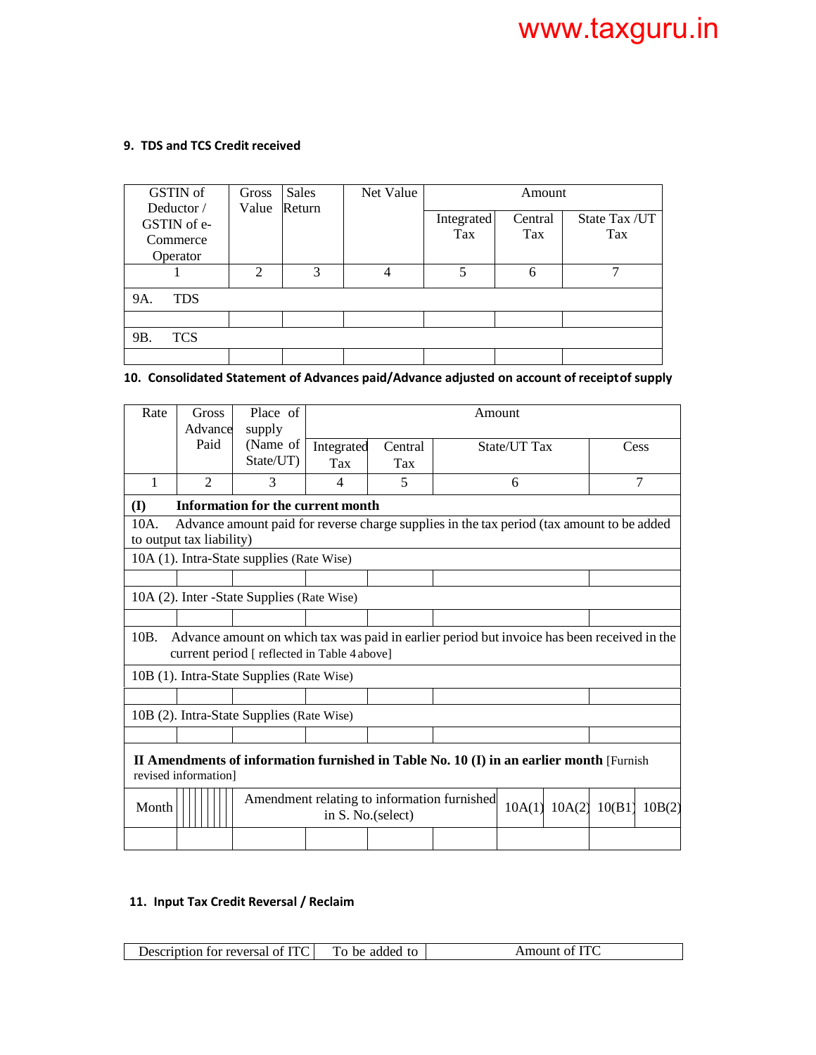#### **9. TDS and TCS Credit received**

| GSTIN of                                          | Gross         | <b>Sales</b> | Net Value |                   | Amount         |                       |
|---------------------------------------------------|---------------|--------------|-----------|-------------------|----------------|-----------------------|
| Deductor /<br>GSTIN of e-<br>Commerce<br>Operator | Value         | Return       |           | Integrated<br>Tax | Central<br>Tax | State Tax / UT<br>Tax |
|                                                   | $\mathcal{D}$ | 3            | 4         | 5                 | 6              |                       |
| 9A.<br><b>TDS</b>                                 |               |              |           |                   |                |                       |
|                                                   |               |              |           |                   |                |                       |
| <b>TCS</b><br>9B.                                 |               |              |           |                   |                |                       |
|                                                   |               |              |           |                   |                |                       |

#### 10. Consolidated Statement of Advances paid/Advance adjusted on account of receiptof supply

| Rate  | <b>Gross</b><br>Advance  | Place of<br>supply                                                                                                                          |            |                    | Amount                                      |              |        |        |        |
|-------|--------------------------|---------------------------------------------------------------------------------------------------------------------------------------------|------------|--------------------|---------------------------------------------|--------------|--------|--------|--------|
|       | Paid                     | (Name of                                                                                                                                    | Integrated | Central            |                                             | State/UT Tax |        |        | Cess   |
|       |                          | State/UT)                                                                                                                                   | Tax        | Tax                |                                             |              |        |        |        |
| 1     | $\mathfrak{D}$           | 3                                                                                                                                           | 4          | 5                  |                                             | 6            |        |        | 7      |
| (I)   |                          | <b>Information for the current month</b>                                                                                                    |            |                    |                                             |              |        |        |        |
| 10A.  | to output tax liability) | Advance amount paid for reverse charge supplies in the tax period (tax amount to be added                                                   |            |                    |                                             |              |        |        |        |
|       |                          | 10A (1). Intra-State supplies (Rate Wise)                                                                                                   |            |                    |                                             |              |        |        |        |
|       |                          |                                                                                                                                             |            |                    |                                             |              |        |        |        |
|       |                          | 10A (2). Inter - State Supplies (Rate Wise)                                                                                                 |            |                    |                                             |              |        |        |        |
|       |                          |                                                                                                                                             |            |                    |                                             |              |        |        |        |
| 10B.  |                          | Advance amount on which tax was paid in earlier period but invoice has been received in the<br>current period [ reflected in Table 4 above] |            |                    |                                             |              |        |        |        |
|       |                          | 10B (1). Intra-State Supplies (Rate Wise)                                                                                                   |            |                    |                                             |              |        |        |        |
|       |                          |                                                                                                                                             |            |                    |                                             |              |        |        |        |
|       |                          | 10B (2). Intra-State Supplies (Rate Wise)                                                                                                   |            |                    |                                             |              |        |        |        |
|       |                          |                                                                                                                                             |            |                    |                                             |              |        |        |        |
|       | revised information]     | II Amendments of information furnished in Table No. 10 (I) in an earlier month [Furnish                                                     |            |                    |                                             |              |        |        |        |
| Month |                          |                                                                                                                                             |            | in S. No. (select) | Amendment relating to information furnished | 10A(1)       | 10A(2) | 10(B1) | 10B(2) |
|       |                          |                                                                                                                                             |            |                    |                                             |              |        |        |        |

### **11. Input Tax Credit Reversal / Reclaim**

| Description for reversal<br>Οİ | ᠇<br>added<br><sub>he</sub><br>tΩ | of ITC<br>Amount |
|--------------------------------|-----------------------------------|------------------|
|--------------------------------|-----------------------------------|------------------|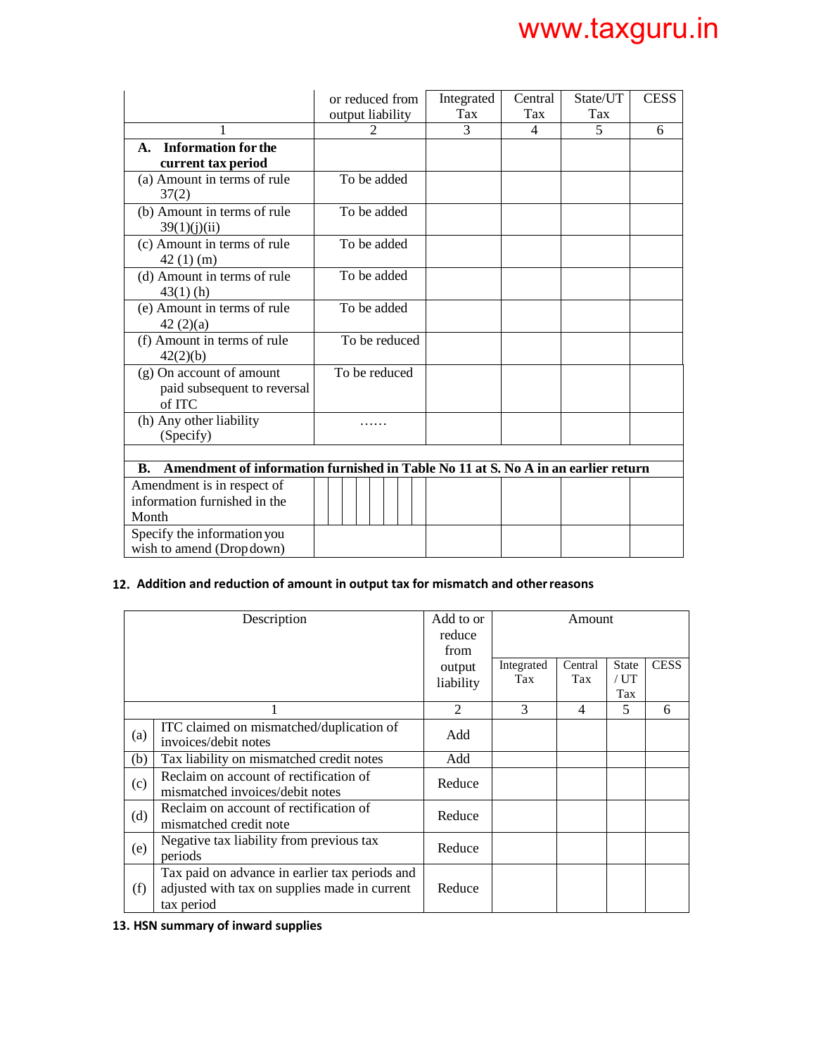|                                                                                         | or reduced from<br>output liability | Integrated<br>Tax | Central<br>Tax | State/UT<br>Tax          | <b>CESS</b> |  |  |  |  |
|-----------------------------------------------------------------------------------------|-------------------------------------|-------------------|----------------|--------------------------|-------------|--|--|--|--|
| 1                                                                                       | $\mathfrak{D}$                      | $\mathcal{E}$     | 4              | $\overline{\phantom{0}}$ | 6           |  |  |  |  |
| <b>Information for the</b><br>A.<br>current tax period                                  |                                     |                   |                |                          |             |  |  |  |  |
| (a) Amount in terms of rule<br>37(2)                                                    | To be added                         |                   |                |                          |             |  |  |  |  |
| (b) Amount in terms of rule<br>39(1)(i)(ii)                                             | To be added                         |                   |                |                          |             |  |  |  |  |
| (c) Amount in terms of rule<br>$42(1)$ (m)                                              | To be added                         |                   |                |                          |             |  |  |  |  |
| (d) Amount in terms of rule<br>$43(1)$ (h)                                              | To be added                         |                   |                |                          |             |  |  |  |  |
| (e) Amount in terms of rule<br>42(2)(a)                                                 | To be added                         |                   |                |                          |             |  |  |  |  |
| (f) Amount in terms of rule<br>42(2)(b)                                                 | To be reduced                       |                   |                |                          |             |  |  |  |  |
| (g) On account of amount<br>paid subsequent to reversal<br>of ITC                       | To be reduced                       |                   |                |                          |             |  |  |  |  |
| (h) Any other liability<br>(Specify)                                                    |                                     |                   |                |                          |             |  |  |  |  |
|                                                                                         |                                     |                   |                |                          |             |  |  |  |  |
| Amendment of information furnished in Table No 11 at S. No A in an earlier return<br>В. |                                     |                   |                |                          |             |  |  |  |  |
| Amendment is in respect of<br>information furnished in the<br>Month                     |                                     |                   |                |                          |             |  |  |  |  |
| Specify the information you<br>wish to amend (Dropdown)                                 |                                     |                   |                |                          |             |  |  |  |  |

### **12. Addition and reduction of amount in output tax for mismatch and other reasons**

| Description |                                                                                                               | Add to or<br>reduce<br>from | Amount            |                |                              |             |  |
|-------------|---------------------------------------------------------------------------------------------------------------|-----------------------------|-------------------|----------------|------------------------------|-------------|--|
|             |                                                                                                               | output<br>liability         | Integrated<br>Tax | Central<br>Tax | <b>State</b><br>/ U T<br>Tax | <b>CESS</b> |  |
|             |                                                                                                               | $\mathfrak{D}$              | 3                 | 4              | 5                            | 6           |  |
| (a)         | ITC claimed on mismatched/duplication of<br>invoices/debit notes                                              | Add                         |                   |                |                              |             |  |
| (b)         | Tax liability on mismatched credit notes                                                                      | Add                         |                   |                |                              |             |  |
| (c)         | Reclaim on account of rectification of<br>mismatched invoices/debit notes                                     | Reduce                      |                   |                |                              |             |  |
| (d)         | Reclaim on account of rectification of<br>mismatched credit note                                              | Reduce                      |                   |                |                              |             |  |
| (e)         | Negative tax liability from previous tax<br>periods                                                           | Reduce                      |                   |                |                              |             |  |
| (f)         | Tax paid on advance in earlier tax periods and<br>adjusted with tax on supplies made in current<br>tax period | Reduce                      |                   |                |                              |             |  |

**13. HSN summary of inward supplies**